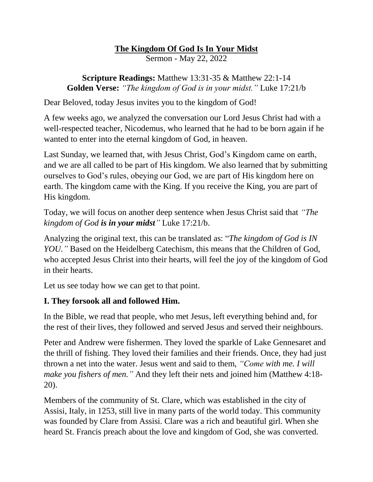# **The Kingdom Of God Is In Your Midst**

Sermon - May 22, 2022

**Scripture Readings:** Matthew 13:31-35 & Matthew 22:1-14 **Golden Verse:** *"The kingdom of God is in your midst."* Luke 17:21/b

Dear Beloved, today Jesus invites you to the kingdom of God!

A few weeks ago, we analyzed the conversation our Lord Jesus Christ had with a well-respected teacher, Nicodemus, who learned that he had to be born again if he wanted to enter into the eternal kingdom of God, in heaven.

Last Sunday, we learned that, with Jesus Christ, God's Kingdom came on earth, and we are all called to be part of His kingdom. We also learned that by submitting ourselves to God's rules, obeying our God, we are part of His kingdom here on earth. The kingdom came with the King. If you receive the King, you are part of His kingdom.

Today, we will focus on another deep sentence when Jesus Christ said that *"The kingdom of God is in your midst"* Luke 17:21/b.

Analyzing the original text, this can be translated as: "*The kingdom of God is IN YOU.* "Based on the Heidelberg Catechism, this means that the Children of God, who accepted Jesus Christ into their hearts, will feel the joy of the kingdom of God in their hearts.

Let us see today how we can get to that point.

# **I. They forsook all and followed Him.**

In the Bible, we read that people, who met Jesus, left everything behind and, for the rest of their lives, they followed and served Jesus and served their neighbours.

Peter and Andrew were fishermen. They loved the sparkle of Lake Gennesaret and the thrill of fishing. They loved their families and their friends. Once, they had just thrown a net into the water. Jesus went and said to them, *"Come with me. I will make you fishers of men."* And they left their nets and joined him (Matthew 4:18- 20).

Members of the community of St. Clare, which was established in the city of Assisi, Italy, in 1253, still live in many parts of the world today. This community was founded by Clare from Assisi. Clare was a rich and beautiful girl. When she heard St. Francis preach about the love and kingdom of God, she was converted.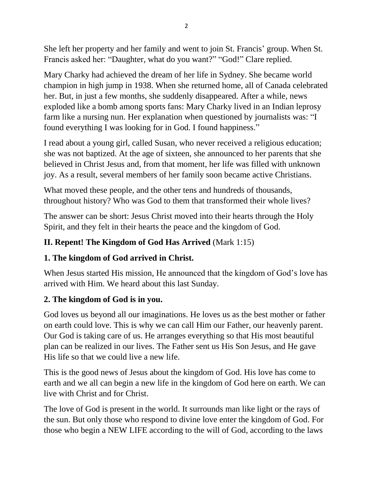She left her property and her family and went to join St. Francis' group. When St. Francis asked her: "Daughter, what do you want?" "God!" Clare replied.

Mary Charky had achieved the dream of her life in Sydney. She became world champion in high jump in 1938. When she returned home, all of Canada celebrated her. But, in just a few months, she suddenly disappeared. After a while, news exploded like a bomb among sports fans: Mary Charky lived in an Indian leprosy farm like a nursing nun. Her explanation when questioned by journalists was: "I found everything I was looking for in God. I found happiness."

I read about a young girl, called Susan, who never received a religious education; she was not baptized. At the age of sixteen, she announced to her parents that she believed in Christ Jesus and, from that moment, her life was filled with unknown joy. As a result, several members of her family soon became active Christians.

What moved these people, and the other tens and hundreds of thousands, throughout history? Who was God to them that transformed their whole lives?

The answer can be short: Jesus Christ moved into their hearts through the Holy Spirit, and they felt in their hearts the peace and the kingdom of God.

# **II. Repent! The Kingdom of God Has Arrived** (Mark 1:15)

# **1. The kingdom of God arrived in Christ.**

When Jesus started His mission, He announced that the kingdom of God's love has arrived with Him. We heard about this last Sunday.

# **2. The kingdom of God is in you.**

God loves us beyond all our imaginations. He loves us as the best mother or father on earth could love. This is why we can call Him our Father, our heavenly parent. Our God is taking care of us. He arranges everything so that His most beautiful plan can be realized in our lives. The Father sent us His Son Jesus, and He gave His life so that we could live a new life.

This is the good news of Jesus about the kingdom of God. His love has come to earth and we all can begin a new life in the kingdom of God here on earth. We can live with Christ and for Christ.

The love of God is present in the world. It surrounds man like light or the rays of the sun. But only those who respond to divine love enter the kingdom of God. For those who begin a NEW LIFE according to the will of God, according to the laws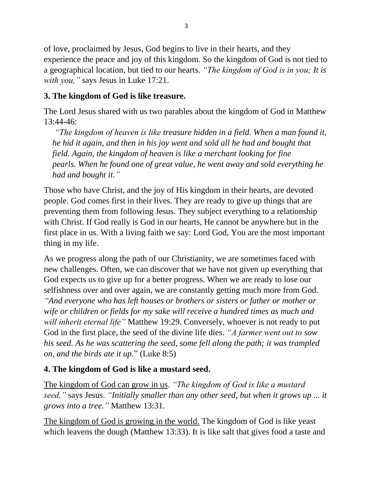of love, proclaimed by Jesus, God begins to live in their hearts, and they experience the peace and joy of this kingdom. So the kingdom of God is not tied to a geographical location, but tied to our hearts. *"The kingdom of God is in you; It is with you,"* says Jesus in Luke 17:21.

### **3. The kingdom of God is like treasure.**

The Lord Jesus shared with us two parables about the kingdom of God in Matthew 13:44-46:

*"The kingdom of heaven is like treasure hidden in a field. When a man found it, he hid it again, and then in his joy went and sold all he had and bought that field. Again, the kingdom of heaven is like a merchant looking for fine pearls. When he found one of great value, he went away and sold everything he had and bought it."*

Those who have Christ, and the joy of His kingdom in their hearts, are devoted people. God comes first in their lives. They are ready to give up things that are preventing them from following Jesus. They subject everything to a relationship with Christ. If God really is God in our hearts, He cannot be anywhere but in the first place in us. With a living faith we say: Lord God, You are the most important thing in my life.

As we progress along the path of our Christianity, we are sometimes faced with new challenges. Often, we can discover that we have not given up everything that God expects us to give up for a better progress. When we are ready to lose our selfishness over and over again, we are constantly getting much more from God. *"And everyone who has left houses or brothers or sisters or father or mother or wife or children or fields for my sake will receive a hundred times as much and will inherit eternal life"* Matthew 19:29. Conversely, whoever is not ready to put God in the first place, the seed of the divine life dies. *"A farmer went out to sow his seed. As he was scattering the seed, some fell along the path; it was trampled on, and the birds ate it up.*" (Luke 8:5)

# **4. The kingdom of God is like a mustard seed.**

The kingdom of God can grow in us. *"The kingdom of God is like a mustard seed,"* says Jesus. *"Initially smaller than any other seed, but when it grows up ... it grows into a tree."* Matthew 13:31.

The kingdom of God is growing in the world. The kingdom of God is like yeast which leavens the dough (Matthew 13:33). It is like salt that gives food a taste and